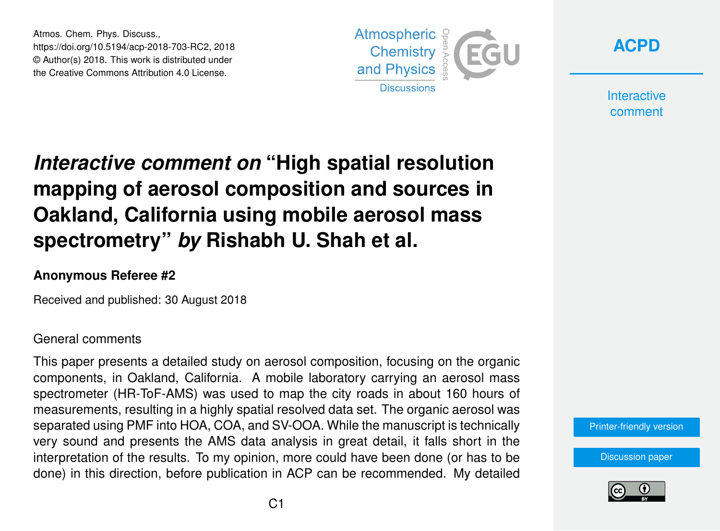Atmos. Chem. Phys. Discuss., https://doi.org/10.5194/acp-2018-703-RC2, 2018 © Author(s) 2018. This work is distributed under the Creative Commons Attribution 4.0 License.





**Interactive** comment

# *Interactive comment on* **"High spatial resolution mapping of aerosol composition and sources in Oakland, California using mobile aerosol mass spectrometry"** *by* **Rishabh U. Shah et al.**

### **Anonymous Referee #2**

Received and published: 30 August 2018

#### General comments

This paper presents a detailed study on aerosol composition, focusing on the organic components, in Oakland, California. A mobile laboratory carrying an aerosol mass spectrometer (HR-ToF-AMS) was used to map the city roads in about 160 hours of measurements, resulting in a highly spatial resolved data set. The organic aerosol was separated using PMF into HOA, COA, and SV-OOA. While the manuscript is technically very sound and presents the AMS data analysis in great detail, it falls short in the interpretation of the results. To my opinion, more could have been done (or has to be done) in this direction, before publication in ACP can be recommended. My detailed

#### [Printer-friendly version](https://www.atmos-chem-phys-discuss.net/acp-2018-703/acp-2018-703-RC2-print.pdf)

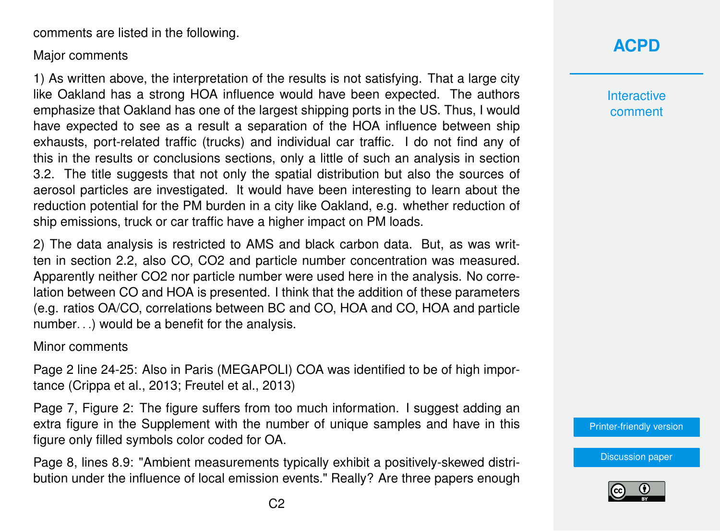comments are listed in the following.

#### Major comments

1) As written above, the interpretation of the results is not satisfying. That a large city like Oakland has a strong HOA influence would have been expected. The authors emphasize that Oakland has one of the largest shipping ports in the US. Thus, I would have expected to see as a result a separation of the HOA influence between ship exhausts, port-related traffic (trucks) and individual car traffic. I do not find any of this in the results or conclusions sections, only a little of such an analysis in section 3.2. The title suggests that not only the spatial distribution but also the sources of aerosol particles are investigated. It would have been interesting to learn about the reduction potential for the PM burden in a city like Oakland, e.g. whether reduction of ship emissions, truck or car traffic have a higher impact on PM loads.

2) The data analysis is restricted to AMS and black carbon data. But, as was written in section 2.2, also CO, CO2 and particle number concentration was measured. Apparently neither CO2 nor particle number were used here in the analysis. No correlation between CO and HOA is presented. I think that the addition of these parameters (e.g. ratios OA/CO, correlations between BC and CO, HOA and CO, HOA and particle number. . .) would be a benefit for the analysis.

#### Minor comments

Page 2 line 24-25: Also in Paris (MEGAPOLI) COA was identified to be of high importance (Crippa et al., 2013; Freutel et al., 2013)

Page 7, Figure 2: The figure suffers from too much information. I suggest adding an extra figure in the Supplement with the number of unique samples and have in this figure only filled symbols color coded for OA.

Page 8, lines 8.9: "Ambient measurements typically exhibit a positively-skewed distribution under the influence of local emission events." Really? Are three papers enough **Interactive** comment

[Printer-friendly version](https://www.atmos-chem-phys-discuss.net/acp-2018-703/acp-2018-703-RC2-print.pdf)

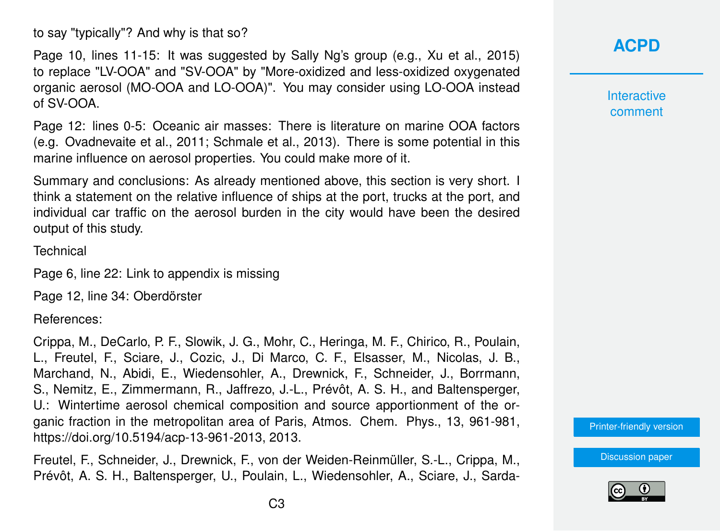to say "typically"? And why is that so?

Page 10, lines 11-15: It was suggested by Sally Ng's group (e.g., Xu et al., 2015) to replace "LV-OOA" and "SV-OOA" by "More-oxidized and less-oxidized oxygenated organic aerosol (MO-OOA and LO-OOA)". You may consider using LO-OOA instead of SV-OOA.

Page 12: lines 0-5: Oceanic air masses: There is literature on marine OOA factors (e.g. Ovadnevaite et al., 2011; Schmale et al., 2013). There is some potential in this marine influence on aerosol properties. You could make more of it.

Summary and conclusions: As already mentioned above, this section is very short. I think a statement on the relative influence of ships at the port, trucks at the port, and individual car traffic on the aerosol burden in the city would have been the desired output of this study.

**Technical** 

Page 6, line 22: Link to appendix is missing

Page 12, line 34: Oberdörster

References:

Crippa, M., DeCarlo, P. F., Slowik, J. G., Mohr, C., Heringa, M. F., Chirico, R., Poulain, L., Freutel, F., Sciare, J., Cozic, J., Di Marco, C. F., Elsasser, M., Nicolas, J. B., Marchand, N., Abidi, E., Wiedensohler, A., Drewnick, F., Schneider, J., Borrmann, S., Nemitz, E., Zimmermann, R., Jaffrezo, J.-L., Prévôt, A. S. H., and Baltensperger, U.: Wintertime aerosol chemical composition and source apportionment of the organic fraction in the metropolitan area of Paris, Atmos. Chem. Phys., 13, 961-981, https://doi.org/10.5194/acp-13-961-2013, 2013.

Freutel, F., Schneider, J., Drewnick, F., von der Weiden-Reinmüller, S.-L., Crippa, M., Prévôt, A. S. H., Baltensperger, U., Poulain, L., Wiedensohler, A., Sciare, J., Sarda-

## **[ACPD](https://www.atmos-chem-phys-discuss.net/)**

**Interactive** comment

[Printer-friendly version](https://www.atmos-chem-phys-discuss.net/acp-2018-703/acp-2018-703-RC2-print.pdf)